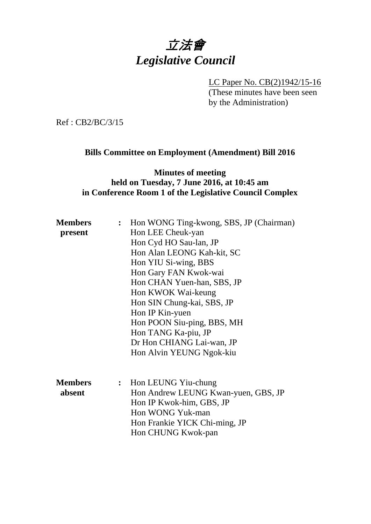

LC Paper No. CB(2)1942/15-16 (These minutes have been seen by the Administration)

Ref : CB2/BC/3/15

### **Bills Committee on Employment (Amendment) Bill 2016**

## **Minutes of meeting held on Tuesday, 7 June 2016, at 10:45 am in Conference Room 1 of the Legislative Council Complex**

| <b>Members</b> | : Hon WONG Ting-kwong, SBS, JP (Chairman) |                                                              |
|----------------|-------------------------------------------|--------------------------------------------------------------|
| present        |                                           | Hon LEE Cheuk-yan                                            |
|                |                                           | Hon Cyd HO Sau-lan, JP                                       |
|                |                                           | Hon Alan LEONG Kah-kit, SC                                   |
|                |                                           | Hon YIU Si-wing, BBS                                         |
|                |                                           | Hon Gary FAN Kwok-wai                                        |
|                |                                           | Hon CHAN Yuen-han, SBS, JP                                   |
|                |                                           | Hon KWOK Wai-keung                                           |
|                |                                           | Hon SIN Chung-kai, SBS, JP                                   |
|                |                                           | Hon IP Kin-yuen                                              |
|                |                                           | Hon POON Siu-ping, BBS, MH                                   |
|                |                                           | Hon TANG Ka-piu, JP                                          |
|                |                                           | Dr Hon CHIANG Lai-wan, JP                                    |
|                |                                           | Hon Alvin YEUNG Ngok-kiu                                     |
| <b>Members</b> |                                           |                                                              |
| absent         |                                           | : Hon LEUNG Yiu-chung<br>Hon Andrew LEUNG Kwan-yuen, GBS, JP |
|                |                                           | Hon IP Kwok-him, GBS, JP                                     |
|                |                                           | Hon WONG Yuk-man                                             |
|                |                                           | Hon Frankie YICK Chi-ming, JP                                |
|                |                                           | Hon CHUNG Kwok-pan                                           |
|                |                                           |                                                              |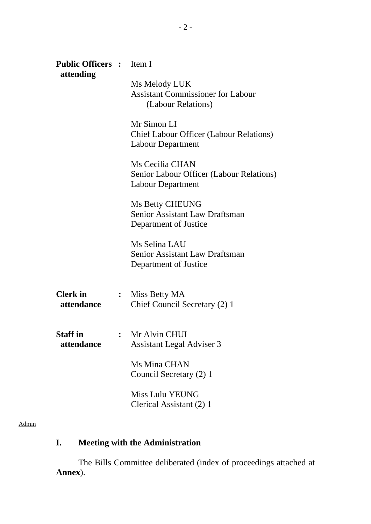| <b>Public Officers :</b> Item I<br>attending |                |                                                                                           |  |
|----------------------------------------------|----------------|-------------------------------------------------------------------------------------------|--|
|                                              |                | Ms Melody LUK<br><b>Assistant Commissioner for Labour</b><br>(Labour Relations)           |  |
|                                              |                | Mr Simon LI<br><b>Chief Labour Officer (Labour Relations)</b><br><b>Labour Department</b> |  |
|                                              |                | Ms Cecilia CHAN<br>Senior Labour Officer (Labour Relations)<br><b>Labour Department</b>   |  |
|                                              |                | <b>Ms Betty CHEUNG</b><br>Senior Assistant Law Draftsman<br>Department of Justice         |  |
|                                              |                | Ms Selina LAU<br><b>Senior Assistant Law Draftsman</b><br>Department of Justice           |  |
| <b>Clerk</b> in<br>attendance                | $\ddot{\cdot}$ | Miss Betty MA<br>Chief Council Secretary (2) 1                                            |  |
| <b>Staff</b> in<br>attendance                |                | Mr Alvin CHUI<br><b>Assistant Legal Adviser 3</b>                                         |  |
|                                              |                | Ms Mina CHAN<br>Council Secretary (2) 1                                                   |  |
|                                              |                | Miss Lulu YEUNG<br>Clerical Assistant (2) 1                                               |  |

#### Admin

# **I. Meeting with the Administration**

1. The Bills Committee deliberated (index of proceedings attached at **Annex**).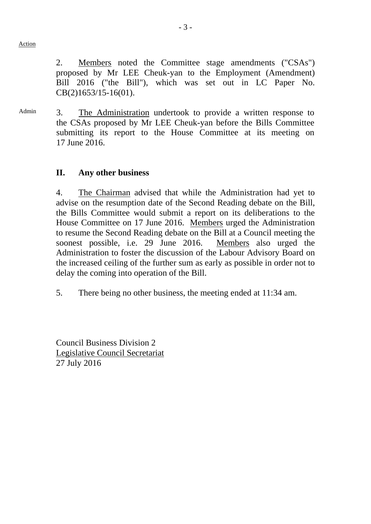Action

2. Members noted the Committee stage amendments ("CSAs") proposed by Mr LEE Cheuk-yan to the Employment (Amendment) Bill 2016 ("the Bill"), which was set out in LC Paper No. CB(2)1653/15-16(01).

Admin 3. The Administration undertook to provide a written response to the CSAs proposed by Mr LEE Cheuk-yan before the Bills Committee submitting its report to the House Committee at its meeting on 17 June 2016.

## **II. Any other business**

4. The Chairman advised that while the Administration had yet to advise on the resumption date of the Second Reading debate on the Bill, the Bills Committee would submit a report on its deliberations to the House Committee on 17 June 2016. Members urged the Administration to resume the Second Reading debate on the Bill at a Council meeting the soonest possible, i.e. 29 June 2016. Members also urged the Administration to foster the discussion of the Labour Advisory Board on the increased ceiling of the further sum as early as possible in order not to delay the coming into operation of the Bill.

5. There being no other business, the meeting ended at 11:34 am.

Council Business Division 2 Legislative Council Secretariat 27 July 2016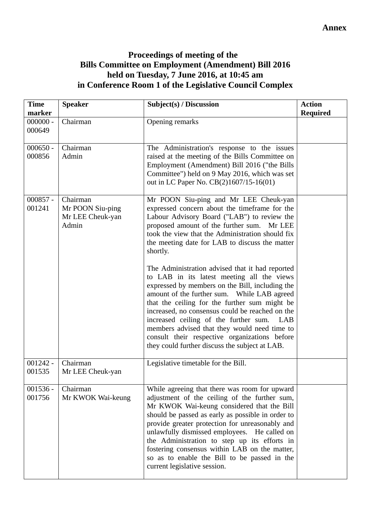## **Proceedings of meeting of the Bills Committee on Employment (Amendment) Bill 2016 held on Tuesday, 7 June 2016, at 10:45 am in Conference Room 1 of the Legislative Council Complex**

| <b>Time</b><br>marker | <b>Speaker</b>                                            | Subject(s) / Discussion                                                                                                                                                                                                                                                                                                                                                                                                                                                                                                                                                                                                                                                                                                                                                                                            | <b>Action</b><br><b>Required</b> |
|-----------------------|-----------------------------------------------------------|--------------------------------------------------------------------------------------------------------------------------------------------------------------------------------------------------------------------------------------------------------------------------------------------------------------------------------------------------------------------------------------------------------------------------------------------------------------------------------------------------------------------------------------------------------------------------------------------------------------------------------------------------------------------------------------------------------------------------------------------------------------------------------------------------------------------|----------------------------------|
| $000000 -$<br>000649  | Chairman                                                  | Opening remarks                                                                                                                                                                                                                                                                                                                                                                                                                                                                                                                                                                                                                                                                                                                                                                                                    |                                  |
| $000650 -$<br>000856  | Chairman<br>Admin                                         | The Administration's response to the issues<br>raised at the meeting of the Bills Committee on<br>Employment (Amendment) Bill 2016 ("the Bills<br>Committee") held on 9 May 2016, which was set<br>out in LC Paper No. CB(2)1607/15-16(01)                                                                                                                                                                                                                                                                                                                                                                                                                                                                                                                                                                         |                                  |
| $000857 -$<br>001241  | Chairman<br>Mr POON Siu-ping<br>Mr LEE Cheuk-yan<br>Admin | Mr POON Siu-ping and Mr LEE Cheuk-yan<br>expressed concern about the timeframe for the<br>Labour Advisory Board ("LAB") to review the<br>proposed amount of the further sum.<br>Mr LEE<br>took the view that the Administration should fix<br>the meeting date for LAB to discuss the matter<br>shortly.<br>The Administration advised that it had reported<br>to LAB in its latest meeting all the views<br>expressed by members on the Bill, including the<br>amount of the further sum. While LAB agreed<br>that the ceiling for the further sum might be<br>increased, no consensus could be reached on the<br>increased ceiling of the further sum.<br>LAB<br>members advised that they would need time to<br>consult their respective organizations before<br>they could further discuss the subject at LAB. |                                  |
| $001242 -$<br>001535  | Chairman<br>Mr LEE Cheuk-yan                              | Legislative timetable for the Bill.                                                                                                                                                                                                                                                                                                                                                                                                                                                                                                                                                                                                                                                                                                                                                                                |                                  |
| $001536 -$<br>001756  | Chairman<br>Mr KWOK Wai-keung                             | While agreeing that there was room for upward<br>adjustment of the ceiling of the further sum,<br>Mr KWOK Wai-keung considered that the Bill<br>should be passed as early as possible in order to<br>provide greater protection for unreasonably and<br>unlawfully dismissed employees. He called on<br>the Administration to step up its efforts in<br>fostering consensus within LAB on the matter,<br>so as to enable the Bill to be passed in the<br>current legislative session.                                                                                                                                                                                                                                                                                                                              |                                  |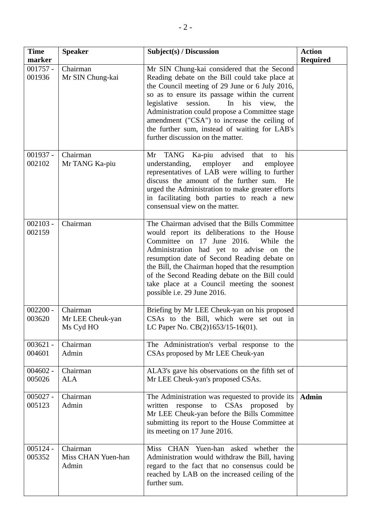| <b>Time</b><br>marker | <b>Speaker</b>                            | Subject(s) / Discussion                                                                                                                                                                                                                                                                                                                                                                                                                           | <b>Action</b><br><b>Required</b> |
|-----------------------|-------------------------------------------|---------------------------------------------------------------------------------------------------------------------------------------------------------------------------------------------------------------------------------------------------------------------------------------------------------------------------------------------------------------------------------------------------------------------------------------------------|----------------------------------|
| $001757 -$<br>001936  | Chairman<br>Mr SIN Chung-kai              | Mr SIN Chung-kai considered that the Second<br>Reading debate on the Bill could take place at<br>the Council meeting of 29 June or 6 July 2016,<br>so as to ensure its passage within the current<br>session.<br>legislative<br>In<br>his<br>view,<br>the<br>Administration could propose a Committee stage<br>amendment ("CSA") to increase the ceiling of<br>the further sum, instead of waiting for LAB's<br>further discussion on the matter. |                                  |
| $001937 -$<br>002102  | Chairman<br>Mr TANG Ka-piu                | TANG Ka-piu advised that<br>Mr<br>his<br>to<br>employer<br>understanding,<br>and<br>employee<br>representatives of LAB were willing to further<br>discuss the amount of the further sum.<br>He<br>urged the Administration to make greater efforts<br>in facilitating both parties to reach a new<br>consensual view on the matter.                                                                                                               |                                  |
| $002103 -$<br>002159  | Chairman                                  | The Chairman advised that the Bills Committee<br>would report its deliberations to the House<br>Committee on 17 June 2016.<br>While the<br>Administration had yet to advise on the<br>resumption date of Second Reading debate on<br>the Bill, the Chairman hoped that the resumption<br>of the Second Reading debate on the Bill could<br>take place at a Council meeting the soonest<br>possible i.e. 29 June 2016.                             |                                  |
| $002200 -$<br>003620  | Chairman<br>Mr LEE Cheuk-yan<br>Ms Cyd HO | Briefing by Mr LEE Cheuk-yan on his proposed<br>CSAs to the Bill, which were set out in<br>LC Paper No. CB(2)1653/15-16(01).                                                                                                                                                                                                                                                                                                                      |                                  |
| $003621 -$<br>004601  | Chairman<br>Admin                         | The Administration's verbal response to the<br>CSAs proposed by Mr LEE Cheuk-yan                                                                                                                                                                                                                                                                                                                                                                  |                                  |
| $004602 -$<br>005026  | Chairman<br><b>ALA</b>                    | ALA3's gave his observations on the fifth set of<br>Mr LEE Cheuk-yan's proposed CSAs.                                                                                                                                                                                                                                                                                                                                                             |                                  |
| $005027 -$<br>005123  | Chairman<br>Admin                         | The Administration was requested to provide its<br>written response to CSAs proposed by<br>Mr LEE Cheuk-yan before the Bills Committee<br>submitting its report to the House Committee at<br>its meeting on 17 June 2016.                                                                                                                                                                                                                         | <b>Admin</b>                     |
| $005124 -$<br>005352  | Chairman<br>Miss CHAN Yuen-han<br>Admin   | Miss CHAN Yuen-han asked whether the<br>Administration would withdraw the Bill, having<br>regard to the fact that no consensus could be<br>reached by LAB on the increased ceiling of the<br>further sum.                                                                                                                                                                                                                                         |                                  |